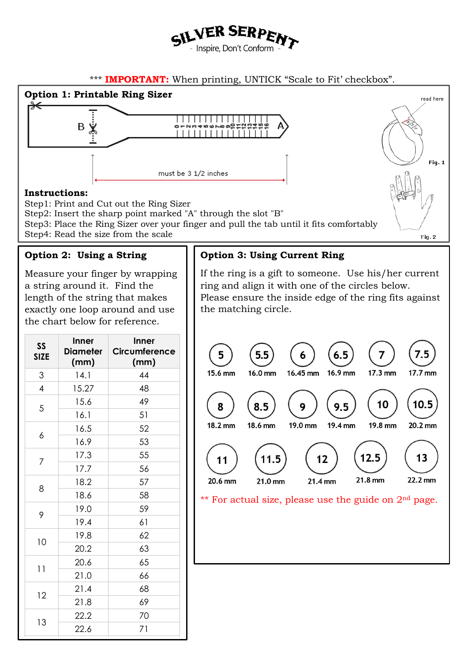

## \*\*\* **IMPORTANT:** When printing, UNTICK "Scale to Fit' checkbox".



13

22.2 70 22.6 71

14 23.0 72